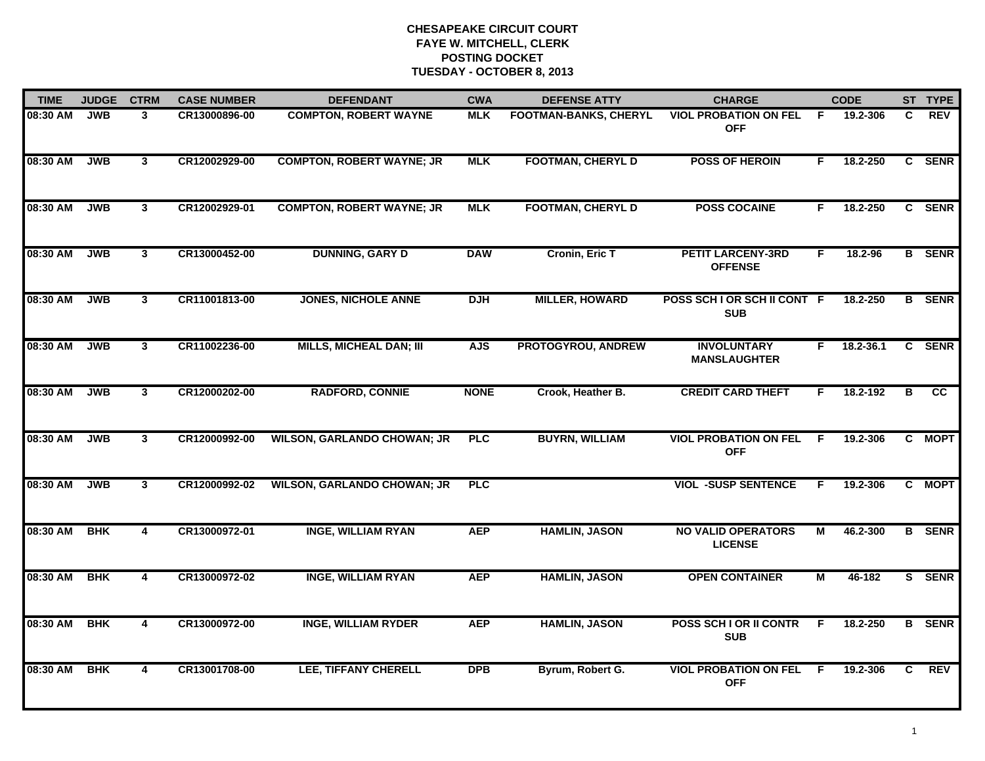| <b>TIME</b> | <b>JUDGE</b> | <b>CTRM</b>    | <b>CASE NUMBER</b> | <b>DEFENDANT</b>                   | <b>CWA</b>  | <b>DEFENSE ATTY</b>          | <b>CHARGE</b>                               |    | <b>CODE</b> |    | ST TYPE       |
|-------------|--------------|----------------|--------------------|------------------------------------|-------------|------------------------------|---------------------------------------------|----|-------------|----|---------------|
| 08:30 AM    | <b>JWB</b>   | 3              | CR13000896-00      | <b>COMPTON, ROBERT WAYNE</b>       | <b>MLK</b>  | <b>FOOTMAN-BANKS, CHERYL</b> | <b>VIOL PROBATION ON FEL</b><br><b>OFF</b>  | -F | 19.2-306    | C. | <b>REV</b>    |
| 08:30 AM    | <b>JWB</b>   | $\mathbf{3}$   | CR12002929-00      | <b>COMPTON, ROBERT WAYNE; JR</b>   | <b>MLK</b>  | <b>FOOTMAN, CHERYL D</b>     | <b>POSS OF HEROIN</b>                       | F. | 18.2-250    |    | C SENR        |
| 08:30 AM    | <b>JWB</b>   | $\mathbf{3}$   | CR12002929-01      | <b>COMPTON, ROBERT WAYNE; JR</b>   | <b>MLK</b>  | <b>FOOTMAN, CHERYL D</b>     | <b>POSS COCAINE</b>                         | F  | 18.2-250    |    | C SENR        |
| 08:30 AM    | <b>JWB</b>   | $\mathbf{3}$   | CR13000452-00      | <b>DUNNING, GARY D</b>             | <b>DAW</b>  | Cronin, Eric T               | <b>PETIT LARCENY-3RD</b><br><b>OFFENSE</b>  | F  | 18.2-96     |    | <b>B</b> SENR |
| 08:30 AM    | <b>JWB</b>   | $\mathbf{3}$   | CR11001813-00      | <b>JONES, NICHOLE ANNE</b>         | <b>DJH</b>  | <b>MILLER, HOWARD</b>        | POSS SCH I OR SCH II CONT F<br><b>SUB</b>   |    | 18.2-250    |    | <b>B</b> SENR |
| 08:30 AM    | <b>JWB</b>   | $\mathbf{3}$   | CR11002236-00      | <b>MILLS, MICHEAL DAN; III</b>     | <b>AJS</b>  | PROTOGYROU, ANDREW           | <b>INVOLUNTARY</b><br><b>MANSLAUGHTER</b>   | F. | 18.2-36.1   |    | C SENR        |
| 08:30 AM    | <b>JWB</b>   | $\mathbf{3}$   | CR12000202-00      | <b>RADFORD, CONNIE</b>             | <b>NONE</b> | Crook, Heather B.            | <b>CREDIT CARD THEFT</b>                    | F. | 18.2-192    | В  | cc            |
| 08:30 AM    | <b>JWB</b>   | $\mathbf{3}$   | CR12000992-00      | <b>WILSON, GARLANDO CHOWAN; JR</b> | <b>PLC</b>  | <b>BUYRN, WILLIAM</b>        | <b>VIOL PROBATION ON FEL</b><br><b>OFF</b>  | F  | 19.2-306    |    | C MOPT        |
| 08:30 AM    | <b>JWB</b>   | $\mathbf{3}$   | CR12000992-02      | <b>WILSON, GARLANDO CHOWAN; JR</b> | <b>PLC</b>  |                              | <b>VIOL -SUSP SENTENCE</b>                  | F  | 19.2-306    |    | C MOPT        |
| 08:30 AM    | <b>BHK</b>   | 4              | CR13000972-01      | <b>INGE, WILLIAM RYAN</b>          | <b>AEP</b>  | <b>HAMLIN, JASON</b>         | <b>NO VALID OPERATORS</b><br><b>LICENSE</b> | M  | 46.2-300    |    | <b>B</b> SENR |
| 08:30 AM    | <b>BHK</b>   | $\overline{4}$ | CR13000972-02      | <b>INGE, WILLIAM RYAN</b>          | <b>AEP</b>  | <b>HAMLIN, JASON</b>         | <b>OPEN CONTAINER</b>                       | М  | 46-182      |    | S SENR        |
| 08:30 AM    | <b>BHK</b>   | 4              | CR13000972-00      | <b>INGE, WILLIAM RYDER</b>         | <b>AEP</b>  | <b>HAMLIN, JASON</b>         | POSS SCH I OR II CONTR<br><b>SUB</b>        | F. | 18.2-250    |    | <b>B</b> SENR |
| 08:30 AM    | <b>BHK</b>   | 4              | CR13001708-00      | <b>LEE, TIFFANY CHERELL</b>        | <b>DPB</b>  | Byrum, Robert G.             | <b>VIOL PROBATION ON FEL</b><br><b>OFF</b>  | -F | 19.2-306    | C. | REV           |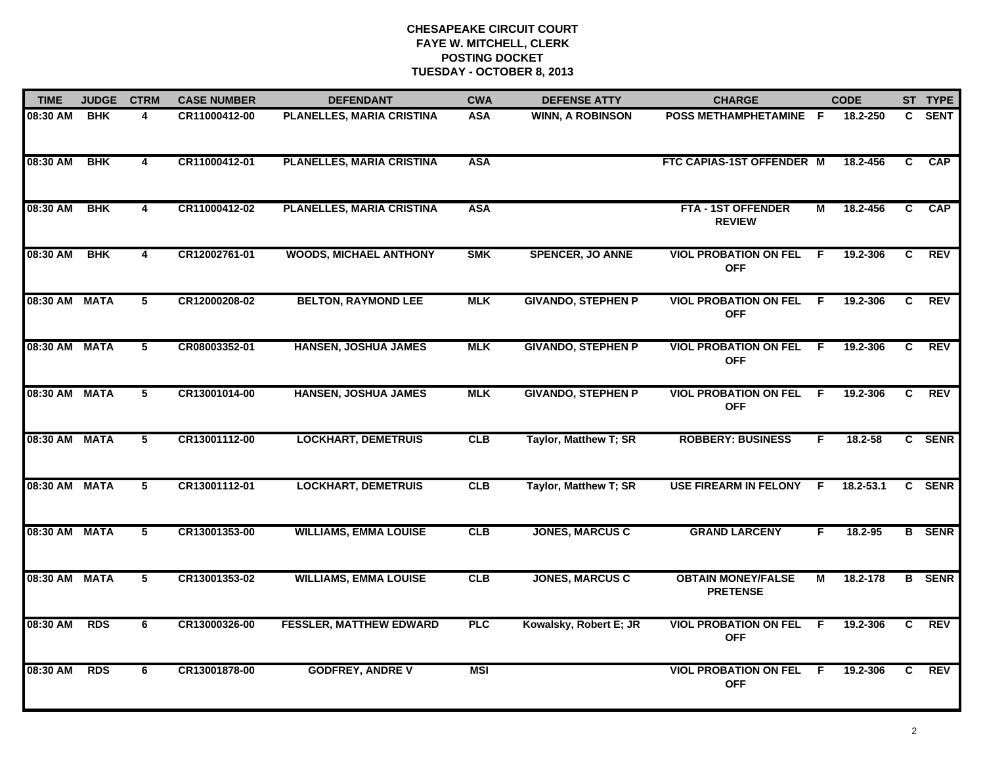| <b>TIME</b>   | <b>JUDGE</b> | <b>CTRM</b>    | <b>CASE NUMBER</b> | <b>DEFENDANT</b>               | <b>CWA</b> | <b>DEFENSE ATTY</b>       | <b>CHARGE</b>                                |     | <b>CODE</b> |                | ST TYPE       |
|---------------|--------------|----------------|--------------------|--------------------------------|------------|---------------------------|----------------------------------------------|-----|-------------|----------------|---------------|
| 08:30 AM      | <b>BHK</b>   | 4              | CR11000412-00      | PLANELLES, MARIA CRISTINA      | <b>ASA</b> | <b>WINN, A ROBINSON</b>   | POSS METHAMPHETAMINE F                       |     | 18.2-250    |                | C SENT        |
| 08:30 AM      | <b>BHK</b>   | $\overline{4}$ | CR11000412-01      | PLANELLES, MARIA CRISTINA      | <b>ASA</b> |                           | FTC CAPIAS-1ST OFFENDER M                    |     | 18.2-456    | C              | <b>CAP</b>    |
| 08:30 AM      | <b>BHK</b>   | 4              | CR11000412-02      | PLANELLES, MARIA CRISTINA      | <b>ASA</b> |                           | <b>FTA - 1ST OFFENDER</b><br><b>REVIEW</b>   | М   | 18.2-456    | $\overline{c}$ | <b>CAP</b>    |
| 08:30 AM      | <b>BHK</b>   | 4              | CR12002761-01      | <b>WOODS, MICHAEL ANTHONY</b>  | <b>SMK</b> | <b>SPENCER, JO ANNE</b>   | <b>VIOL PROBATION ON FEL</b><br><b>OFF</b>   | E   | 19.2-306    | C.             | <b>REV</b>    |
| 08:30 AM MATA |              | 5              | CR12000208-02      | <b>BELTON, RAYMOND LEE</b>     | <b>MLK</b> | <b>GIVANDO, STEPHEN P</b> | <b>VIOL PROBATION ON FEL</b><br><b>OFF</b>   | - F | 19.2-306    | $\mathbf{c}$   | <b>REV</b>    |
| 08:30 AM MATA |              | 5              | CR08003352-01      | <b>HANSEN, JOSHUA JAMES</b>    | <b>MLK</b> | <b>GIVANDO, STEPHEN P</b> | <b>VIOL PROBATION ON FEL</b><br><b>OFF</b>   | -F  | 19.2-306    | C              | <b>REV</b>    |
| 08:30 AM      | <b>MATA</b>  | $\overline{5}$ | CR13001014-00      | <b>HANSEN, JOSHUA JAMES</b>    | $M_K$      | <b>GIVANDO, STEPHEN P</b> | <b>VIOL PROBATION ON FEL</b><br><b>OFF</b>   | - F | 19.2-306    | C              | REV           |
| 08:30 AM      | <b>MATA</b>  | 5              | CR13001112-00      | <b>LOCKHART, DEMETRUIS</b>     | <b>CLB</b> | Taylor, Matthew T; SR     | <b>ROBBERY: BUSINESS</b>                     | F   | 18.2-58     |                | C SENR        |
| 08:30 AM      | <b>MATA</b>  | 5              | CR13001112-01      | <b>LOCKHART, DEMETRUIS</b>     | <b>CLB</b> | Taylor, Matthew T; SR     | <b>USE FIREARM IN FELONY</b>                 | -F  | 18.2-53.1   |                | C SENR        |
| 08:30 AM      | <b>MATA</b>  | 5              | CR13001353-00      | <b>WILLIAMS, EMMA LOUISE</b>   | CLB        | <b>JONES, MARCUS C</b>    | <b>GRAND LARCENY</b>                         | F.  | 18.2-95     |                | <b>B</b> SENR |
| 08:30 AM MATA |              | 5              | CR13001353-02      | <b>WILLIAMS, EMMA LOUISE</b>   | CLB        | <b>JONES, MARCUS C</b>    | <b>OBTAIN MONEY/FALSE</b><br><b>PRETENSE</b> | М   | 18.2-178    |                | <b>B</b> SENR |
| 08:30 AM      | <b>RDS</b>   | 6              | CR13000326-00      | <b>FESSLER, MATTHEW EDWARD</b> | PLC        | Kowalsky, Robert E; JR    | <b>VIOL PROBATION ON FEL</b><br><b>OFF</b>   | E   | 19.2-306    | C              | <b>REV</b>    |
| 08:30 AM      | <b>RDS</b>   | 6              | CR13001878-00      | <b>GODFREY, ANDRE V</b>        | <b>MSI</b> |                           | <b>VIOL PROBATION ON FEL</b><br><b>OFF</b>   | -F  | 19.2-306    | C.             | <b>REV</b>    |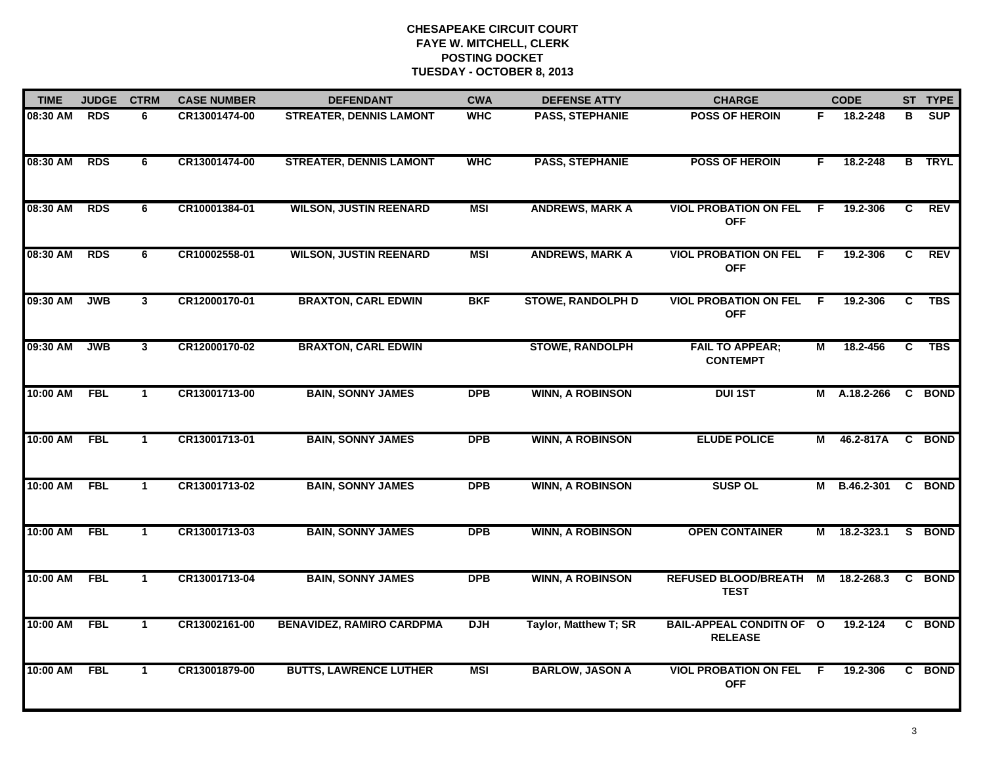| <b>TIME</b> | <b>JUDGE</b> | <b>CTRM</b>  | <b>CASE NUMBER</b> | <b>DEFENDANT</b>                 | <b>CWA</b> | <b>DEFENSE ATTY</b>      | <b>CHARGE</b>                                     |    | <b>CODE</b> |                | ST TYPE       |
|-------------|--------------|--------------|--------------------|----------------------------------|------------|--------------------------|---------------------------------------------------|----|-------------|----------------|---------------|
| 08:30 AM    | <b>RDS</b>   | 6            | CR13001474-00      | <b>STREATER, DENNIS LAMONT</b>   | <b>WHC</b> | <b>PASS, STEPHANIE</b>   | <b>POSS OF HEROIN</b>                             | F. | 18.2-248    | В              | <b>SUP</b>    |
| 08:30 AM    | <b>RDS</b>   | 6            | CR13001474-00      | <b>STREATER, DENNIS LAMONT</b>   | <b>WHC</b> | <b>PASS, STEPHANIE</b>   | <b>POSS OF HEROIN</b>                             | F  | 18.2-248    |                | <b>B</b> TRYL |
| 08:30 AM    | <b>RDS</b>   | 6            | CR10001384-01      | <b>WILSON, JUSTIN REENARD</b>    | <b>MSI</b> | <b>ANDREWS, MARK A</b>   | <b>VIOL PROBATION ON FEL</b><br><b>OFF</b>        | E  | 19.2-306    | $\overline{c}$ | <b>REV</b>    |
| 08:30 AM    | <b>RDS</b>   | 6            | CR10002558-01      | <b>WILSON, JUSTIN REENARD</b>    | <b>MSI</b> | <b>ANDREWS, MARK A</b>   | <b>VIOL PROBATION ON FEL</b><br><b>OFF</b>        | F. | 19.2-306    | C              | <b>REV</b>    |
| 09:30 AM    | <b>JWB</b>   | $\mathbf{3}$ | CR12000170-01      | <b>BRAXTON, CARL EDWIN</b>       | <b>BKF</b> | <b>STOWE, RANDOLPH D</b> | <b>VIOL PROBATION ON FEL</b><br><b>OFF</b>        | F. | 19.2-306    | C              | <b>TBS</b>    |
| 09:30 AM    | <b>JWB</b>   | $\mathbf{3}$ | CR12000170-02      | <b>BRAXTON, CARL EDWIN</b>       |            | <b>STOWE, RANDOLPH</b>   | <b>FAIL TO APPEAR;</b><br><b>CONTEMPT</b>         | М  | 18.2-456    | C              | <b>TBS</b>    |
| 10:00 AM    | <b>FBL</b>   | $\mathbf{1}$ | CR13001713-00      | <b>BAIN, SONNY JAMES</b>         | <b>DPB</b> | <b>WINN, A ROBINSON</b>  | <b>DUI1ST</b>                                     | M  | A.18.2-266  | $\mathbf{c}$   | <b>BOND</b>   |
| 10:00 AM    | <b>FBL</b>   | $\mathbf{1}$ | CR13001713-01      | <b>BAIN, SONNY JAMES</b>         | <b>DPB</b> | <b>WINN, A ROBINSON</b>  | <b>ELUDE POLICE</b>                               | М  | 46.2-817A   |                | C BOND        |
| 10:00 AM    | <b>FBL</b>   | $\mathbf{1}$ | CR13001713-02      | <b>BAIN, SONNY JAMES</b>         | <b>DPB</b> | <b>WINN, A ROBINSON</b>  | <b>SUSP OL</b>                                    | м  | B.46.2-301  |                | C BOND        |
| 10:00 AM    | <b>FBL</b>   | $\mathbf{1}$ | CR13001713-03      | <b>BAIN, SONNY JAMES</b>         | <b>DPB</b> | <b>WINN, A ROBINSON</b>  | <b>OPEN CONTAINER</b>                             | М  | 18.2-323.1  |                | S BOND        |
| 10:00 AM    | <b>FBL</b>   | $\mathbf{1}$ | CR13001713-04      | <b>BAIN, SONNY JAMES</b>         | <b>DPB</b> | <b>WINN, A ROBINSON</b>  | REFUSED BLOOD/BREATH M<br><b>TEST</b>             |    | 18.2-268.3  | C              | <b>BOND</b>   |
| 10:00 AM    | <b>FBL</b>   | $\mathbf{1}$ | CR13002161-00      | <b>BENAVIDEZ, RAMIRO CARDPMA</b> | <b>DJH</b> | Taylor, Matthew T; SR    | <b>BAIL-APPEAL CONDITN OF O</b><br><b>RELEASE</b> |    | 19.2-124    | C.             | <b>BOND</b>   |
| 10:00 AM    | <b>FBL</b>   | $\mathbf{1}$ | CR13001879-00      | <b>BUTTS, LAWRENCE LUTHER</b>    | <b>MSI</b> | <b>BARLOW, JASON A</b>   | <b>VIOL PROBATION ON FEL</b><br><b>OFF</b>        | -F | 19.2-306    |                | C BOND        |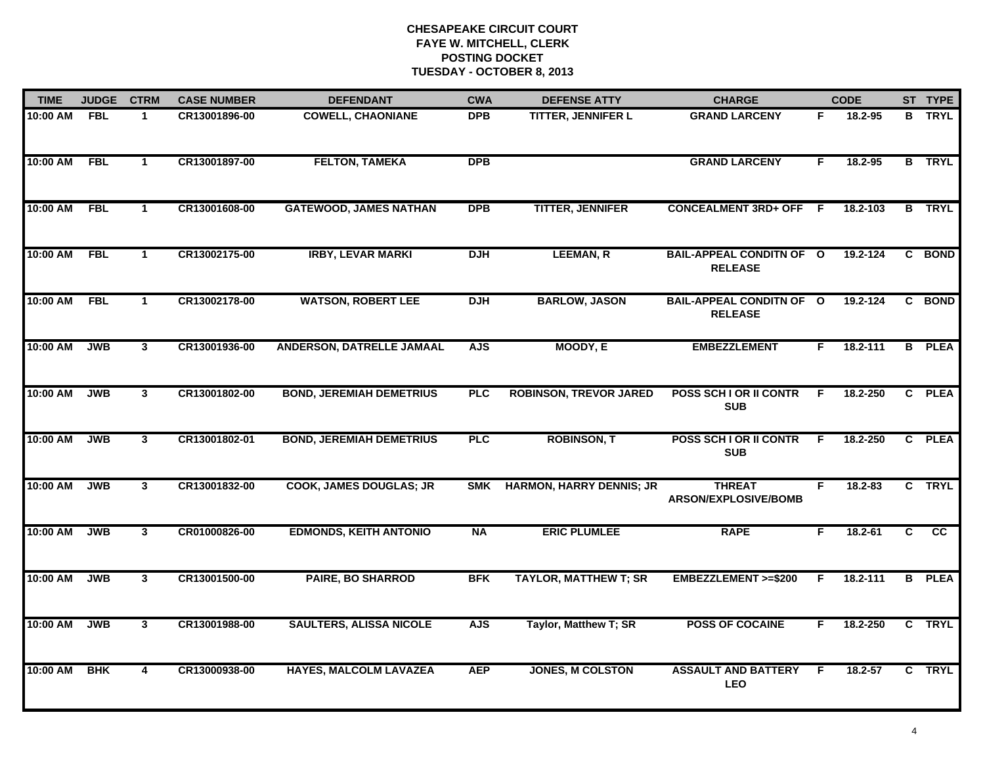| <b>TIME</b> | <b>JUDGE</b> | <b>CTRM</b>             |               | <b>CASE NUMBER</b><br><b>DEFENDANT</b> | <b>CWA</b> | <b>DEFENSE ATTY</b>             | <b>CHARGE</b>                                     |    | <b>CODE</b> |                | ST TYPE       |
|-------------|--------------|-------------------------|---------------|----------------------------------------|------------|---------------------------------|---------------------------------------------------|----|-------------|----------------|---------------|
| 10:00 AM    | <b>FBL</b>   | $\mathbf{1}$            | CR13001896-00 | <b>COWELL, CHAONIANE</b>               | DPB        | <b>TITTER, JENNIFER L</b>       | <b>GRAND LARCENY</b>                              | F. | 18.2-95     |                | <b>B</b> TRYL |
| 10:00 AM    | <b>FBL</b>   | $\mathbf{1}$            | CR13001897-00 | <b>FELTON, TAMEKA</b>                  | <b>DPB</b> |                                 | <b>GRAND LARCENY</b>                              | F  | 18.2-95     |                | <b>B</b> TRYL |
| 10:00 AM    | <b>FBL</b>   | $\mathbf{1}$            | CR13001608-00 | <b>GATEWOOD, JAMES NATHAN</b>          | <b>DPB</b> | <b>TITTER, JENNIFER</b>         | <b>CONCEALMENT 3RD+ OFF F</b>                     |    | 18.2-103    |                | <b>B</b> TRYL |
| 10:00 AM    | <b>FBL</b>   | $\mathbf 1$             | CR13002175-00 | <b>IRBY, LEVAR MARKI</b>               | <b>DJH</b> | <b>LEEMAN, R</b>                | <b>BAIL-APPEAL CONDITN OF O</b><br><b>RELEASE</b> |    | 19.2-124    |                | C BOND        |
| 10:00 AM    | <b>FBL</b>   | $\mathbf{1}$            | CR13002178-00 | <b>WATSON, ROBERT LEE</b>              | <b>DJH</b> | <b>BARLOW, JASON</b>            | <b>BAIL-APPEAL CONDITN OF O</b><br><b>RELEASE</b> |    | 19.2-124    |                | C BOND        |
| 10:00 AM    | <b>JWB</b>   | $\mathbf{3}$            | CR13001936-00 | ANDERSON, DATRELLE JAMAAL              | <b>AJS</b> | MOODY, E                        | <b>EMBEZZLEMENT</b>                               | F. | 18.2-111    |                | <b>B</b> PLEA |
| 10:00 AM    | <b>JWB</b>   | $\mathbf{3}$            | CR13001802-00 | <b>BOND, JEREMIAH DEMETRIUS</b>        | <b>PLC</b> | <b>ROBINSON, TREVOR JARED</b>   | POSS SCH I OR II CONTR<br><b>SUB</b>              | F. | 18.2-250    | $\overline{c}$ | <b>PLEA</b>   |
| 10:00 AM    | <b>JWB</b>   | $\mathbf{3}$            | CR13001802-01 | <b>BOND, JEREMIAH DEMETRIUS</b>        | <b>PLC</b> | <b>ROBINSON, T</b>              | POSS SCH I OR II CONTR<br><b>SUB</b>              | E  | 18.2-250    |                | C PLEA        |
| 10:00 AM    | <b>JWB</b>   | 3                       | CR13001832-00 | <b>COOK, JAMES DOUGLAS; JR</b>         | <b>SMK</b> | <b>HARMON, HARRY DENNIS; JR</b> | <b>THREAT</b><br>ARSON/EXPLOSIVE/BOMB             | F  | $18.2 - 83$ |                | C TRYL        |
| 10:00 AM    | <b>JWB</b>   | $\mathbf{3}$            | CR01000826-00 | <b>EDMONDS, KEITH ANTONIO</b>          | <b>NA</b>  | <b>ERIC PLUMLEE</b>             | <b>RAPE</b>                                       | F. | $18.2 - 61$ | C              | cc            |
| 10:00 AM    | <b>JWB</b>   | $\mathbf{3}$            | CR13001500-00 | <b>PAIRE, BO SHARROD</b>               | <b>BFK</b> | <b>TAYLOR, MATTHEW T; SR</b>    | <b>EMBEZZLEMENT &gt;=\$200</b>                    | F  | 18.2-111    |                | <b>B</b> PLEA |
| 10:00 AM    | <b>JWB</b>   | $\overline{\mathbf{3}}$ | CR13001988-00 | <b>SAULTERS, ALISSA NICOLE</b>         | <b>AJS</b> | Taylor, Matthew T; SR           | <b>POSS OF COCAINE</b>                            | F. | 18.2-250    |                | C TRYL        |
| 10:00 AM    | <b>BHK</b>   | $\overline{4}$          | CR13000938-00 | <b>HAYES, MALCOLM LAVAZEA</b>          | <b>AEP</b> | <b>JONES, M COLSTON</b>         | <b>ASSAULT AND BATTERY</b><br><b>LEO</b>          | -F | 18.2-57     |                | C TRYL        |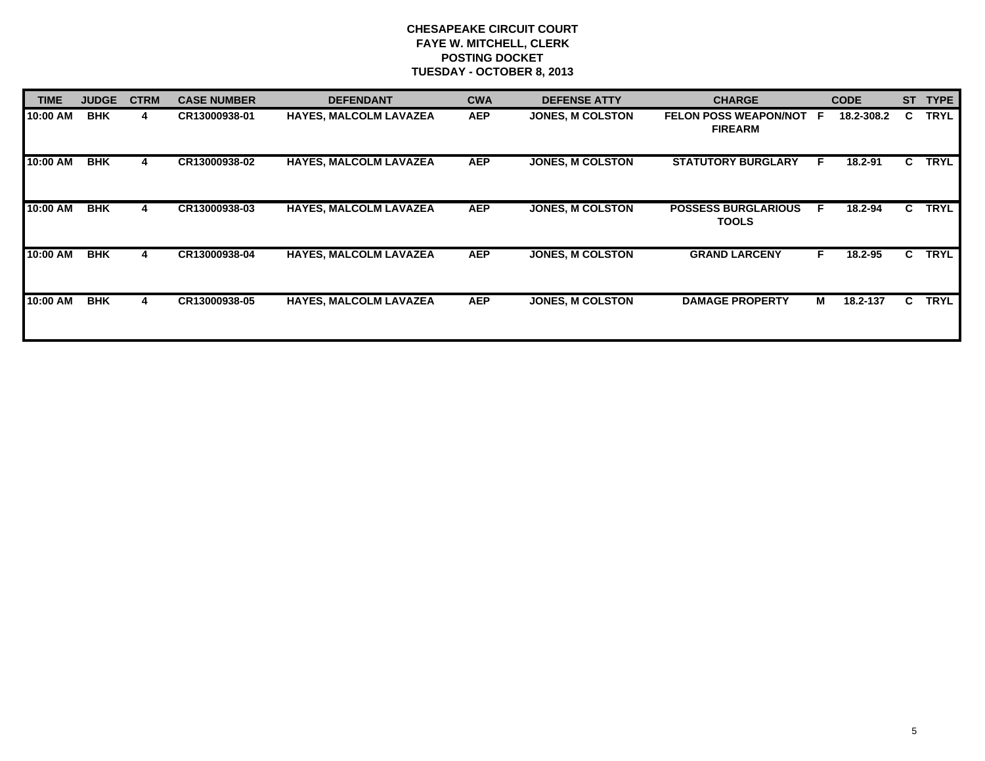| <b>TIME</b> | <b>JUDGE</b> | <b>CTRM</b> | <b>CASE NUMBER</b> | <b>DEFENDANT</b>              | <b>CWA</b> | <b>DEFENSE ATTY</b>     | <b>CHARGE</b>                                    |    | <b>CODE</b> | <b>ST</b> | <b>TYPE</b> |
|-------------|--------------|-------------|--------------------|-------------------------------|------------|-------------------------|--------------------------------------------------|----|-------------|-----------|-------------|
| 10:00 AM    | <b>BHK</b>   | 4           | CR13000938-01      | <b>HAYES, MALCOLM LAVAZEA</b> | <b>AEP</b> | <b>JONES, M COLSTON</b> | <b>FELON POSS WEAPON/NOT F</b><br><b>FIREARM</b> |    | 18.2-308.2  | C.        | <b>TRYL</b> |
| 10:00 AM    | <b>BHK</b>   | 4           | CR13000938-02      | <b>HAYES, MALCOLM LAVAZEA</b> | <b>AEP</b> | <b>JONES, M COLSTON</b> | <b>STATUTORY BURGLARY</b>                        | F. | 18.2-91     | C         | <b>TRYL</b> |
| 10:00 AM    | <b>BHK</b>   | 4           | CR13000938-03      | <b>HAYES, MALCOLM LAVAZEA</b> | <b>AEP</b> | <b>JONES, M COLSTON</b> | <b>POSSESS BURGLARIOUS</b><br><b>TOOLS</b>       | F. | 18.2-94     | C.        | <b>TRYL</b> |
| 10:00 AM    | <b>BHK</b>   | 4           | CR13000938-04      | <b>HAYES, MALCOLM LAVAZEA</b> | <b>AEP</b> | JONES, M COLSTON        | <b>GRAND LARCENY</b>                             | F. | 18.2-95     | C.        | <b>TRYL</b> |
| 10:00 AM    | <b>BHK</b>   | 4           | CR13000938-05      | <b>HAYES, MALCOLM LAVAZEA</b> | <b>AEP</b> | <b>JONES, M COLSTON</b> | <b>DAMAGE PROPERTY</b>                           | М  | 18.2-137    | C.        | <b>TRYL</b> |